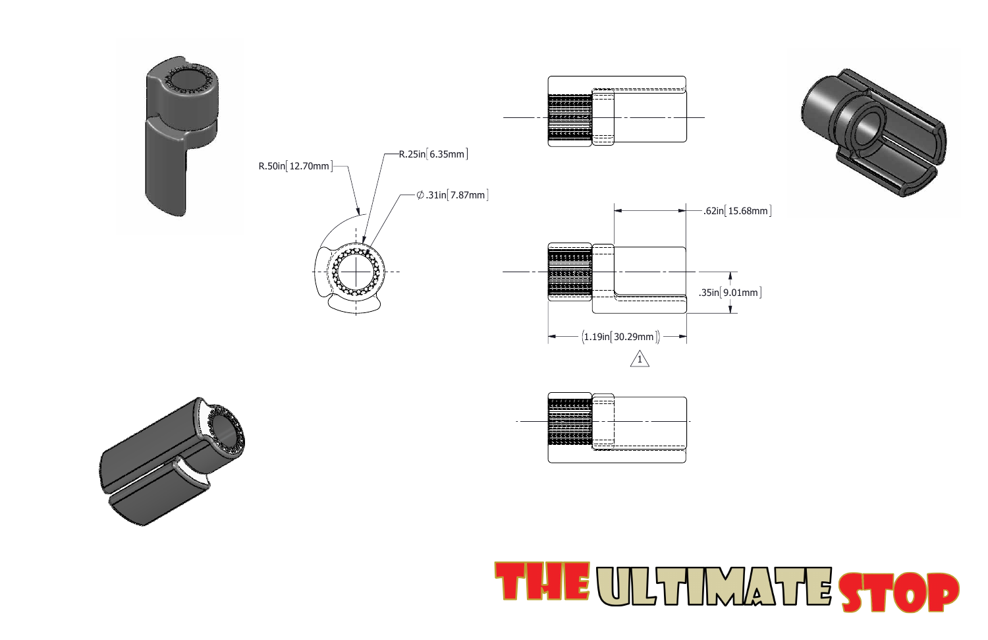



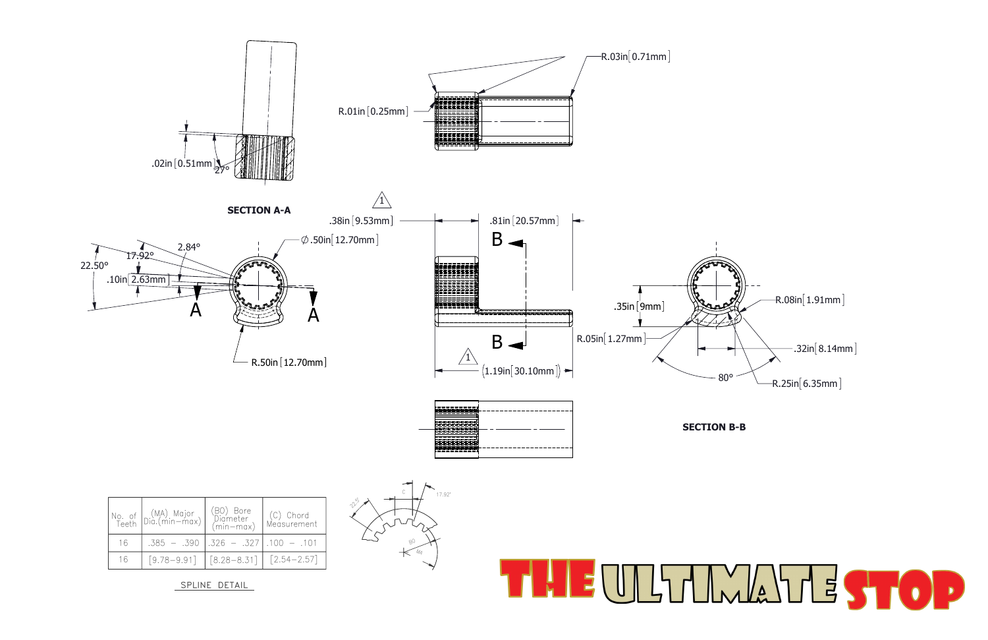

SPLINE DETAIL